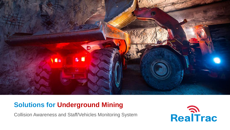

### **Solutions for Underground Mining**

Collision Awareness and Staff/Vehicles Monitoring System

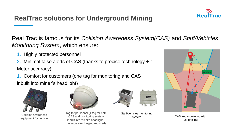# **RealTrac solutions for Underground Mining**

Real Trac is famous for its *Collision Awareness System(CAS)* and *Staff/Vehicles Monitoring System*, which ensure:

- 1. Highly protected personnel
- 2. Minimal false alerts of CAS (thanks to precise technology +-1 Meter accuracy)
- 1. Comfort for customers (one tag for monitoring and CAS inbuilt into miner's headlight)



Collision awareness equipment for vehicle



Tag for personnel (1 tag for both CAS and monitoring system inbuilt into miner's headlight – no separate charging required)



Staff/vehicles monitoring



system  $\overline{\phantom{a}}$  CAS and monitoring with just one Tag

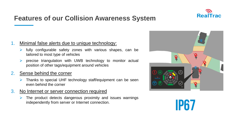

## **Features of our Collision Awareness System**

#### 1. Minimal false alerts due to unique technology:

- $\triangleright$  fully configurable safety zones with various shapes, can be tailored to most type of vehicles
- ➢ precise triangulation with UWB technology to monitor actual position of other tags/equipment around vehicles

### 2. Sense behind the corner

- $\triangleright$  Thanks to special UHF technology staff/equipment can be seen even behind the corner
- 3. No Internet or server connection required
	- $\triangleright$  The product detects dangerous proximity and issues warnings independently from server or Internet connection.



**IP67**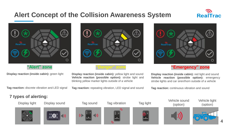### **Alert Concept of the Collision Awareness System**





**"Alert" zone**



#### **"Danger" zone**



#### **"Emergency" zone**

**Display reaction (inside cabin):** green light

**Tag reaction:** discrete vibration and LED signal

**Display reaction (inside cabin):** yellow light and sound **Vehicle reaction (possible option):** strobe light and blinking yellow marker lights outside of a vehicle

**Tag reaction:** repeating vibration, LED signal and sound

**Display reaction (inside cabin):** red light and sound **Vehicle reaction (possible option):** emergency strobe lights and car siren/horn outside of a vehicle

**Tag reaction:** continuous vibration and sound

#### **7 types of alerting:**

Display light Display sound Tag sound















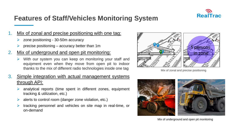

### **Features of Staff/Vehicles Monitoring System**

### Mix of zonal and precise positioning with one tag:

- zone positioning 30-50m accuracy
- ➢ precise positioning accuracy better than 1m

### 2. Mix of underground and open pit monitoring:

With our system you can keep on monitoring your staff and equipment even when they move from open pit to indoor thanks to the mix of different radio technologies inside one tag

### 3. Simple integration with actual management systems through API:

- analytical reports (time spent in different zones, equipment tracking & utilization, etc.)
- ➢ alerts to control room (danger zone violation, etc.)
- ➢ tracking personnel and vehicles on site map in real-time, or on-demand



Mix of zonal and precise positioning



Mix of underground and open pit monitoring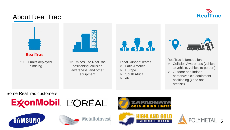

### About Real Trac



7'000+ units deployed in mining



12+ mines use RealTrac positioning, collision awareness, and other equipment



Local Support Teams

- ➢ Latin America
- ➢ Europe
- ➢ South Africa
- ➢ etc.



RealTrac is famous for:

- ➢ Collision Awareness (vehicle to vehicle, vehicle to person)
- ➢ Outdoor and indoor person/vehicle/equipment positioning (zone and precise)

Some RealTrac customers:









**Metalloinvest**